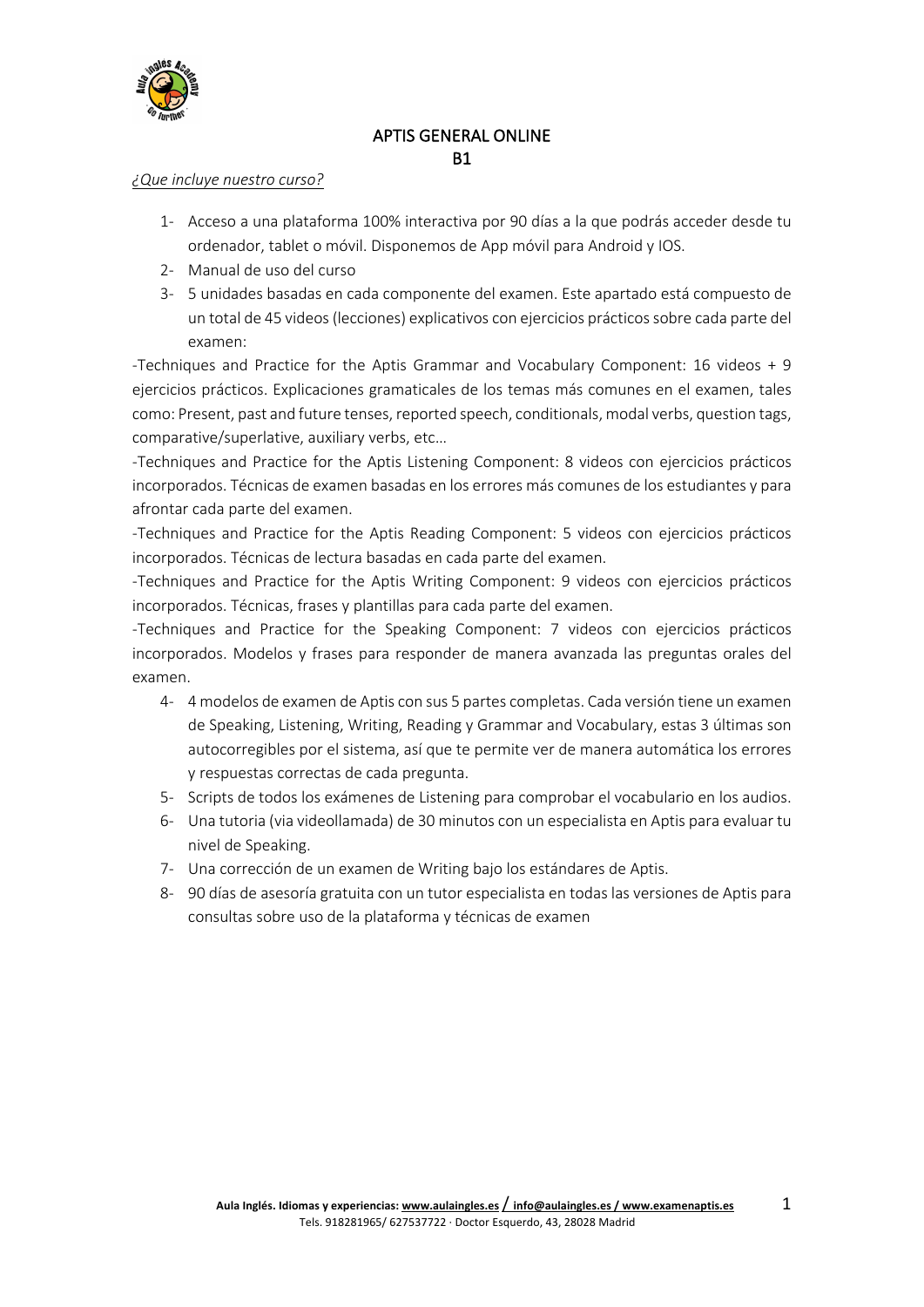

### APTIS GENERAL ONLINE B1

### *¿Que incluye nuestro curso?*

- 1- Acceso a una plataforma 100% interactiva por 90 días a la que podrás acceder desde tu ordenador, tablet o móvil. Disponemos de App móvil para Android y IOS.
- 2- Manual de uso del curso
- 3- 5 unidades basadas en cada componente del examen. Este apartado está compuesto de un total de 45 videos (lecciones) explicativos con ejercicios prácticossobre cada parte del examen:

-Techniques and Practice for the Aptis Grammar and Vocabulary Component: 16 videos + 9 ejercicios prácticos. Explicaciones gramaticales de los temas más comunes en el examen, tales como: Present, past and future tenses, reported speech, conditionals, modal verbs, question tags, comparative/superlative, auxiliary verbs, etc…

-Techniques and Practice for the Aptis Listening Component: 8 videos con ejercicios prácticos incorporados. Técnicas de examen basadas en los errores más comunes de los estudiantes y para afrontar cada parte del examen.

-Techniques and Practice for the Aptis Reading Component: 5 videos con ejercicios prácticos incorporados. Técnicas de lectura basadas en cada parte del examen.

-Techniques and Practice for the Aptis Writing Component: 9 videos con ejercicios prácticos incorporados. Técnicas, frases y plantillas para cada parte del examen.

-Techniques and Practice for the Speaking Component: 7 videos con ejercicios prácticos incorporados. Modelos y frases para responder de manera avanzada las preguntas orales del examen.

- 4- 4 modelos de examen de Aptis con sus 5 partes completas. Cada versión tiene un examen de Speaking, Listening, Writing, Reading y Grammar and Vocabulary, estas 3 últimas son autocorregibles por el sistema, así que te permite ver de manera automática los errores y respuestas correctas de cada pregunta.
- 5- Scripts de todos los exámenes de Listening para comprobar el vocabulario en los audios.
- 6- Una tutoria (via videollamada) de 30 minutos con un especialista en Aptis para evaluar tu nivel de Speaking.
- 7- Una corrección de un examen de Writing bajo los estándares de Aptis.
- 8- 90 días de asesoría gratuita con un tutor especialista en todas las versiones de Aptis para consultas sobre uso de la plataforma y técnicas de examen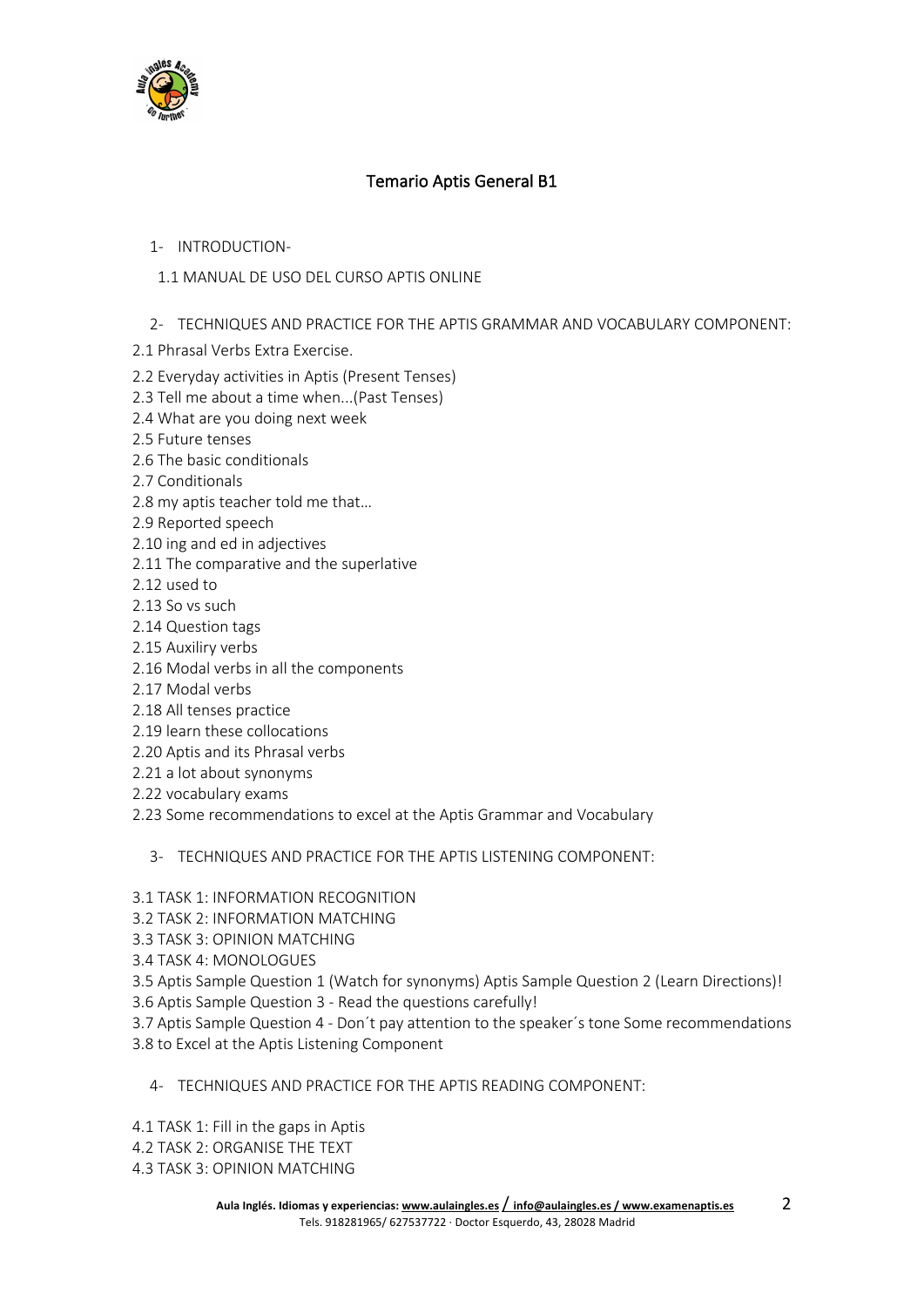

# Temario Aptis General B1

# 1- INTRODUCTION-

# 1.1 MANUAL DE USO DEL CURSO APTIS ONLINE

# 2- TECHNIQUES AND PRACTICE FOR THE APTIS GRAMMAR AND VOCABULARY COMPONENT:

- 2.1 Phrasal Verbs Extra Exercise.
- 2.2 Everyday activities in Aptis (Present Tenses)
- 2.3 Tell me about a time when...(Past Tenses)
- 2.4 What are you doing next week
- 2.5 Future tenses
- 2.6 The basic conditionals
- 2.7 Conditionals
- 2.8 my aptis teacher told me that…
- 2.9 Reported speech
- 2.10 ing and ed in adjectives
- 2.11 The comparative and the superlative
- 2.12 used to
- 2.13 So vs such
- 2.14 Question tags
- 2.15 Auxiliry verbs
- 2.16 Modal verbs in all the components
- 2.17 Modal verbs
- 2.18 All tenses practice
- 2.19 learn these collocations
- 2.20 Aptis and its Phrasal verbs
- 2.21 a lot about synonyms
- 2.22 vocabulary exams
- 2.23 Some recommendations to excel at the Aptis Grammar and Vocabulary

3- TECHNIQUES AND PRACTICE FOR THE APTIS LISTENING COMPONENT:

- 3.1 TASK 1: INFORMATION RECOGNITION
- 3.2 TASK 2: INFORMATION MATCHING
- 3.3 TASK 3: OPINION MATCHING
- 3.4 TASK 4: MONOLOGUES
- 3.5 Aptis Sample Question 1 (Watch for synonyms) Aptis Sample Question 2 (Learn Directions)!
- 3.6 Aptis Sample Question 3 Read the questions carefully!

3.7 Aptis Sample Question 4 - Don´t pay attention to the speaker´s tone Some recommendations 3.8 to Excel at the Aptis Listening Component

- 4- TECHNIQUES AND PRACTICE FOR THE APTIS READING COMPONENT:
- 4.1 TASK 1: Fill in the gaps in Aptis
- 4.2 TASK 2: ORGANISE THE TEXT
- 4.3 TASK 3: OPINION MATCHING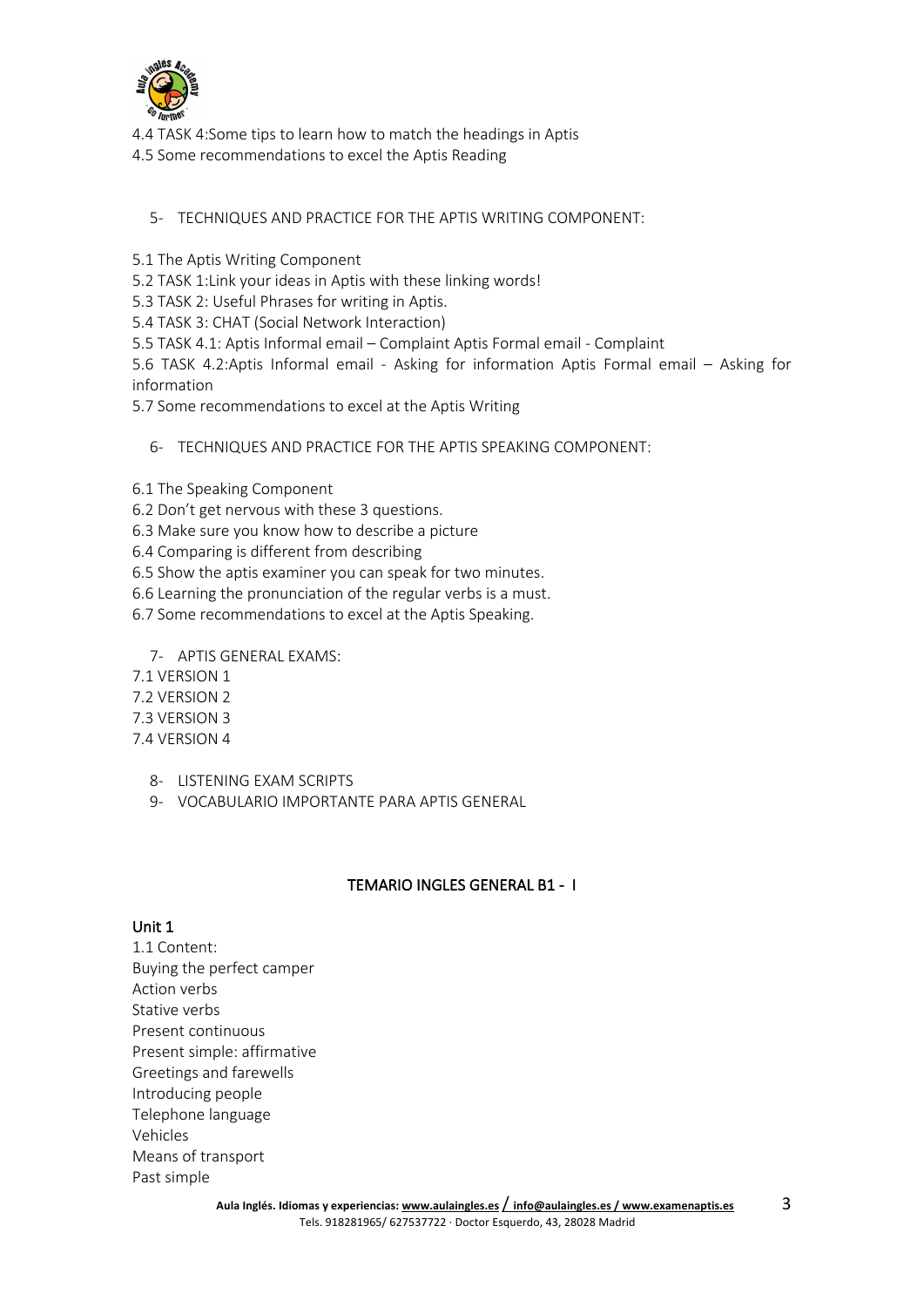

4.4 TASK 4:Some tips to learn how to match the headings in Aptis

4.5 Some recommendations to excel the Aptis Reading

# 5- TECHNIQUES AND PRACTICE FOR THE APTIS WRITING COMPONENT:

5.1 The Aptis Writing Component

5.2 TASK 1:Link your ideas in Aptis with these linking words!

5.3 TASK 2: Useful Phrases for writing in Aptis.

5.4 TASK 3: CHAT (Social Network Interaction)

5.5 TASK 4.1: Aptis Informal email – Complaint Aptis Formal email - Complaint

5.6 TASK 4.2:Aptis Informal email - Asking for information Aptis Formal email – Asking for information

5.7 Some recommendations to excel at the Aptis Writing

# 6- TECHNIQUES AND PRACTICE FOR THE APTIS SPEAKING COMPONENT:

- 6.1 The Speaking Component
- 6.2 Don't get nervous with these 3 questions.
- 6.3 Make sure you know how to describe a picture
- 6.4 Comparing is different from describing

6.5 Show the aptis examiner you can speak for two minutes.

6.6 Learning the pronunciation of the regular verbs is a must.

6.7 Some recommendations to excel at the Aptis Speaking.

7- APTIS GENERAL EXAMS:

7.1 VERSION 1

7.2 VERSION 2

7.3 VERSION 3

7.4 VERSION 4

- 8- LISTENING EXAM SCRIPTS
- 9- VOCABULARIO IMPORTANTE PARA APTIS GENERAL

# TEMARIO INGLES GENERAL B1 - I

# Unit 1

1.1 Content: Buying the perfect camper Action verbs Stative verbs Present continuous Present simple: affirmative Greetings and farewells Introducing people Telephone language Vehicles Means of transport Past simple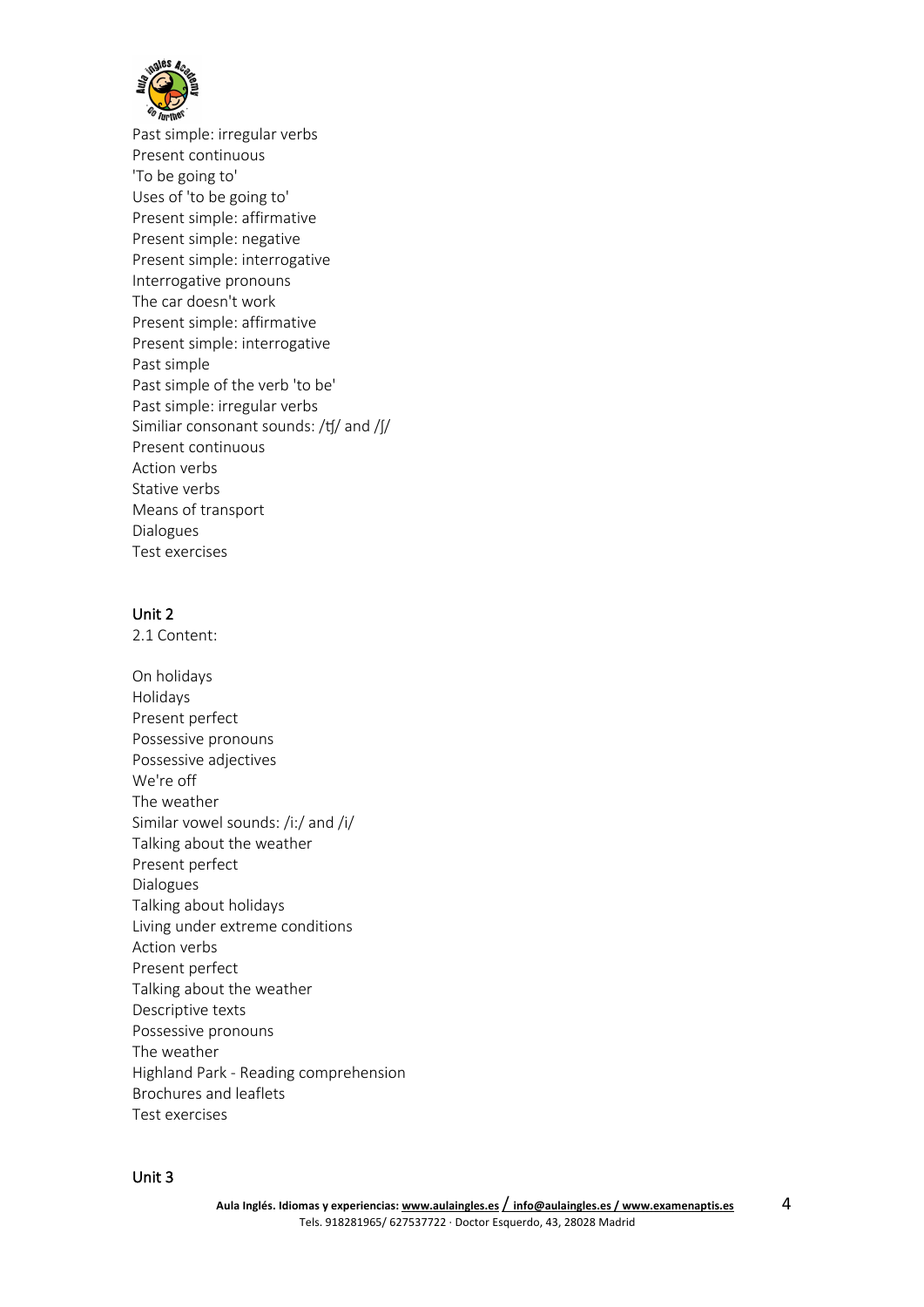

Past simple: irregular verbs Present continuous 'To be going to' Uses of 'to be going to' Present simple: affirmative Present simple: negative Present simple: interrogative Interrogative pronouns The car doesn't work Present simple: affirmative Present simple: interrogative Past simple Past simple of the verb 'to be' Past simple: irregular verbs Similiar consonant sounds: /ʧ/ and /ʃ/ Present continuous Action verbs Stative verbs Means of transport Dialogues Test exercises

### Unit 2

2.1 Content:

On holidays Holidays Present perfect Possessive pronouns Possessive adjectives We're off The weather Similar vowel sounds: /i:/ and /i/ Talking about the weather Present perfect Dialogues Talking about holidays Living under extreme conditions Action verbs Present perfect Talking about the weather Descriptive texts Possessive pronouns The weather Highland Park - Reading comprehension Brochures and leaflets Test exercises

#### Unit 3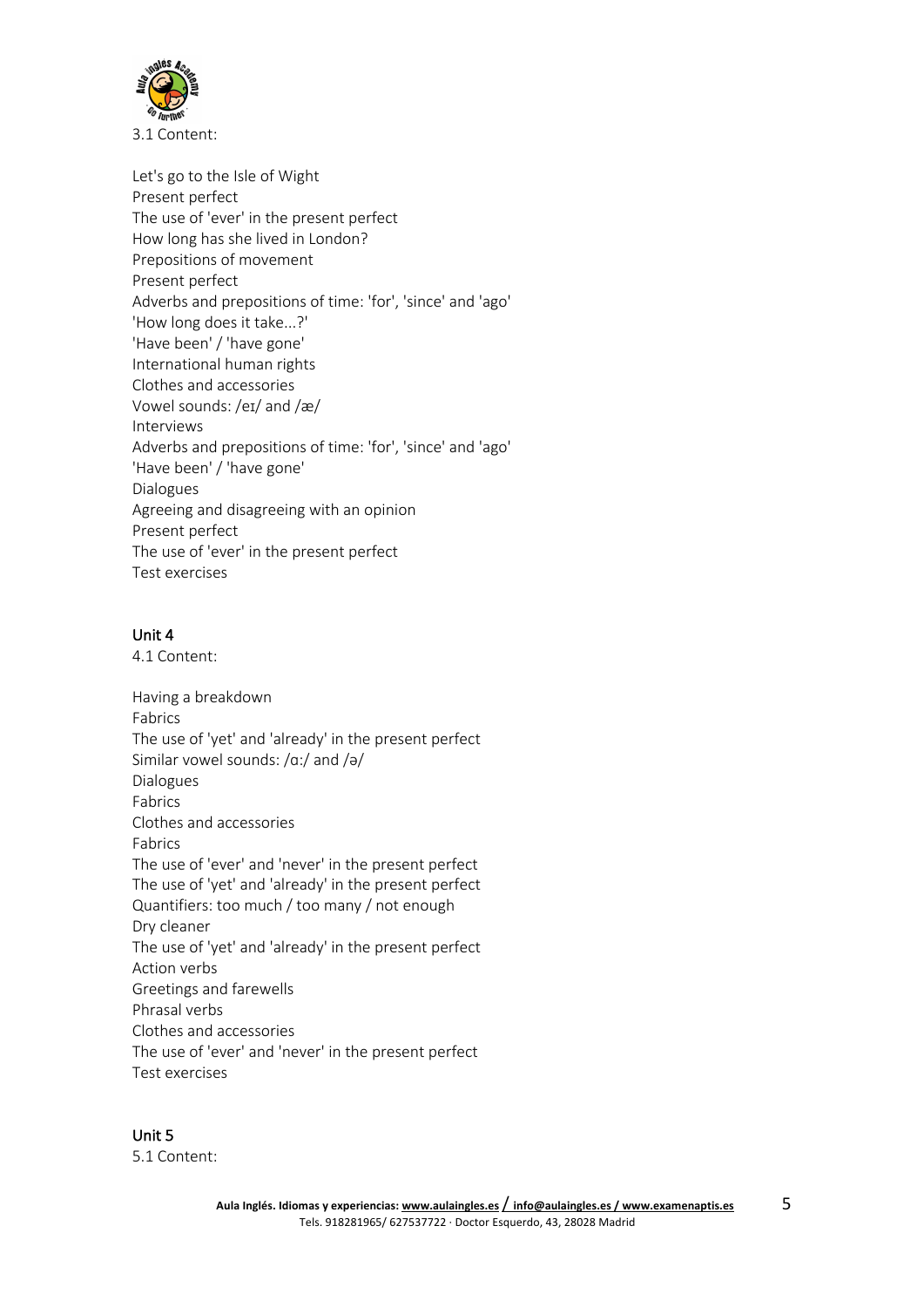

3.1 Content:

Let's go to the Isle of Wight Present perfect The use of 'ever' in the present perfect How long has she lived in London? Prepositions of movement Present perfect Adverbs and prepositions of time: 'for', 'since' and 'ago' 'How long does it take...?' 'Have been' / 'have gone' International human rights Clothes and accessories Vowel sounds: /eɪ/ and /æ/ Interviews Adverbs and prepositions of time: 'for', 'since' and 'ago' 'Have been' / 'have gone' Dialogues Agreeing and disagreeing with an opinion Present perfect The use of 'ever' in the present perfect Test exercises

#### Unit 4

4.1 Content:

Having a breakdown Fabrics The use of 'yet' and 'already' in the present perfect Similar vowel sounds: /ɑ:/ and /ə/ Dialogues Fabrics Clothes and accessories Fabrics The use of 'ever' and 'never' in the present perfect The use of 'yet' and 'already' in the present perfect Quantifiers: too much / too many / not enough Dry cleaner The use of 'yet' and 'already' in the present perfect Action verbs Greetings and farewells Phrasal verbs Clothes and accessories The use of 'ever' and 'never' in the present perfect Test exercises

Unit 5 5.1 Content: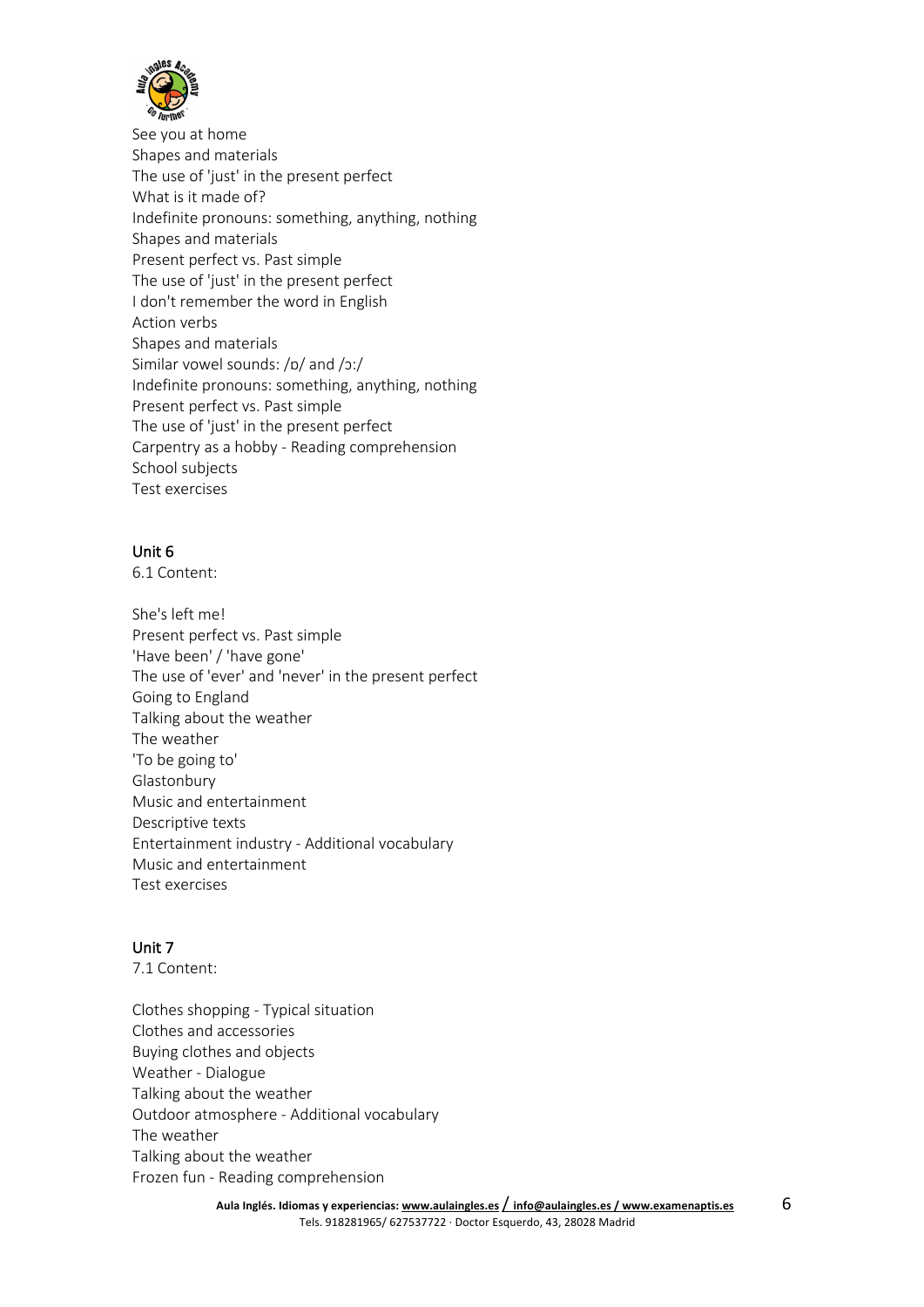

See you at home Shapes and materials The use of 'just' in the present perfect What is it made of? Indefinite pronouns: something, anything, nothing Shapes and materials Present perfect vs. Past simple The use of 'just' in the present perfect I don't remember the word in English Action verbs Shapes and materials Similar vowel sounds: /ɒ/ and /ɔ:/ Indefinite pronouns: something, anything, nothing Present perfect vs. Past simple The use of 'just' in the present perfect Carpentry as a hobby - Reading comprehension School subjects Test exercises

### Unit 6

6.1 Content:

She's left me! Present perfect vs. Past simple 'Have been' / 'have gone' The use of 'ever' and 'never' in the present perfect Going to England Talking about the weather The weather 'To be going to' Glastonbury Music and entertainment Descriptive texts Entertainment industry - Additional vocabulary Music and entertainment Test exercises

# Unit 7

7.1 Content:

Clothes shopping - Typical situation Clothes and accessories Buying clothes and objects Weather - Dialogue Talking about the weather Outdoor atmosphere - Additional vocabulary The weather Talking about the weather Frozen fun - Reading comprehension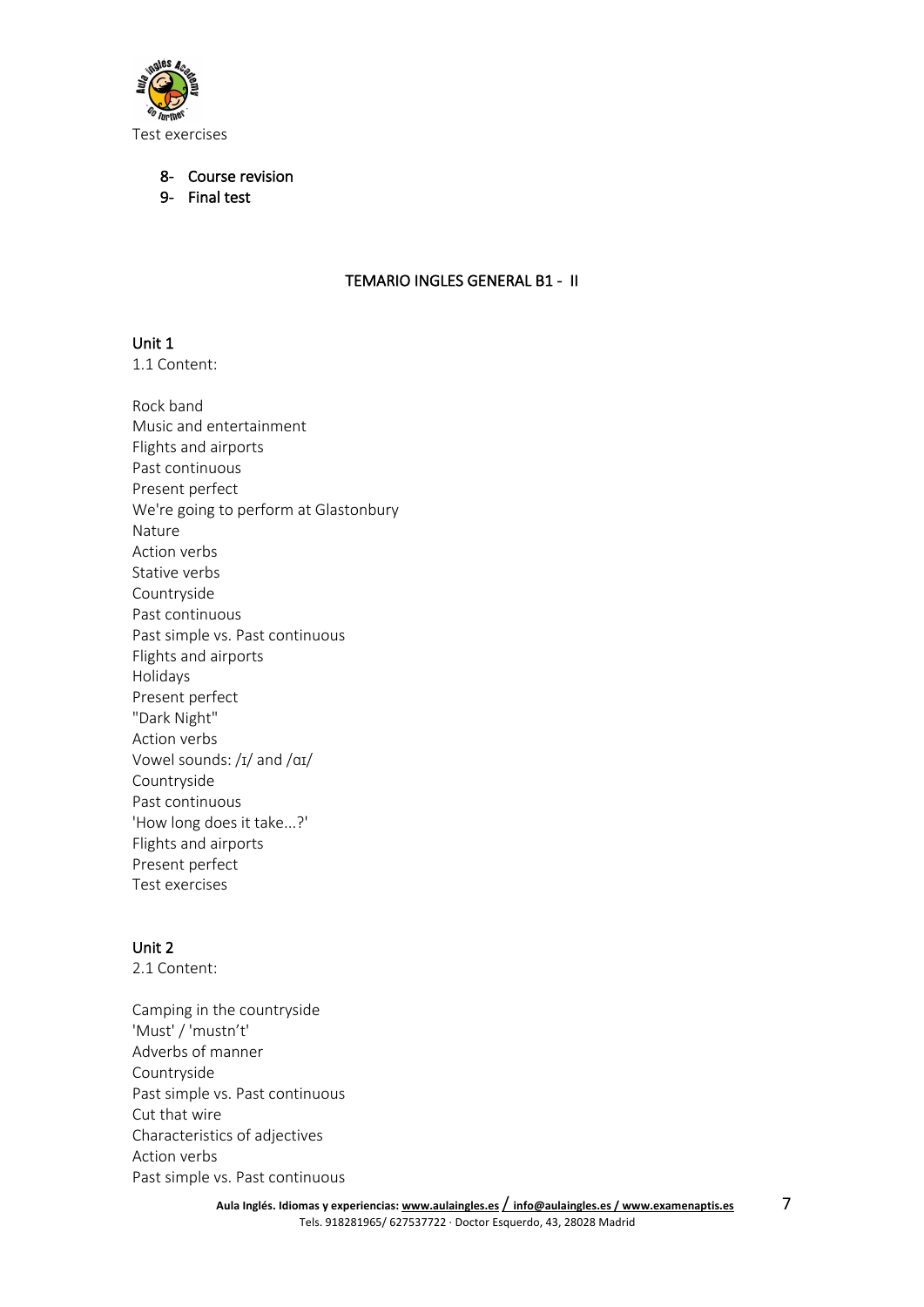

8- Course revision

### 9- Final test

### TEMARIO INGLES GENERAL B1 - II

### Unit 1

1.1 Content:

Rock band Music and entertainment Flights and airports Past continuous Present perfect We're going to perform at Glastonbury Nature Action verbs Stative verbs Countryside Past continuous Past simple vs. Past continuous Flights and airports Holidays Present perfect "Dark Night" Action verbs Vowel sounds: /ɪ/ and /ɑɪ/ Countryside Past continuous 'How long does it take...?' Flights and airports Present perfect Test exercises

# Unit 2

2.1 Content:

Camping in the countryside 'Must' / 'mustn't' Adverbs of manner Countryside Past simple vs. Past continuous Cut that wire Characteristics of adjectives Action verbs Past simple vs. Past continuous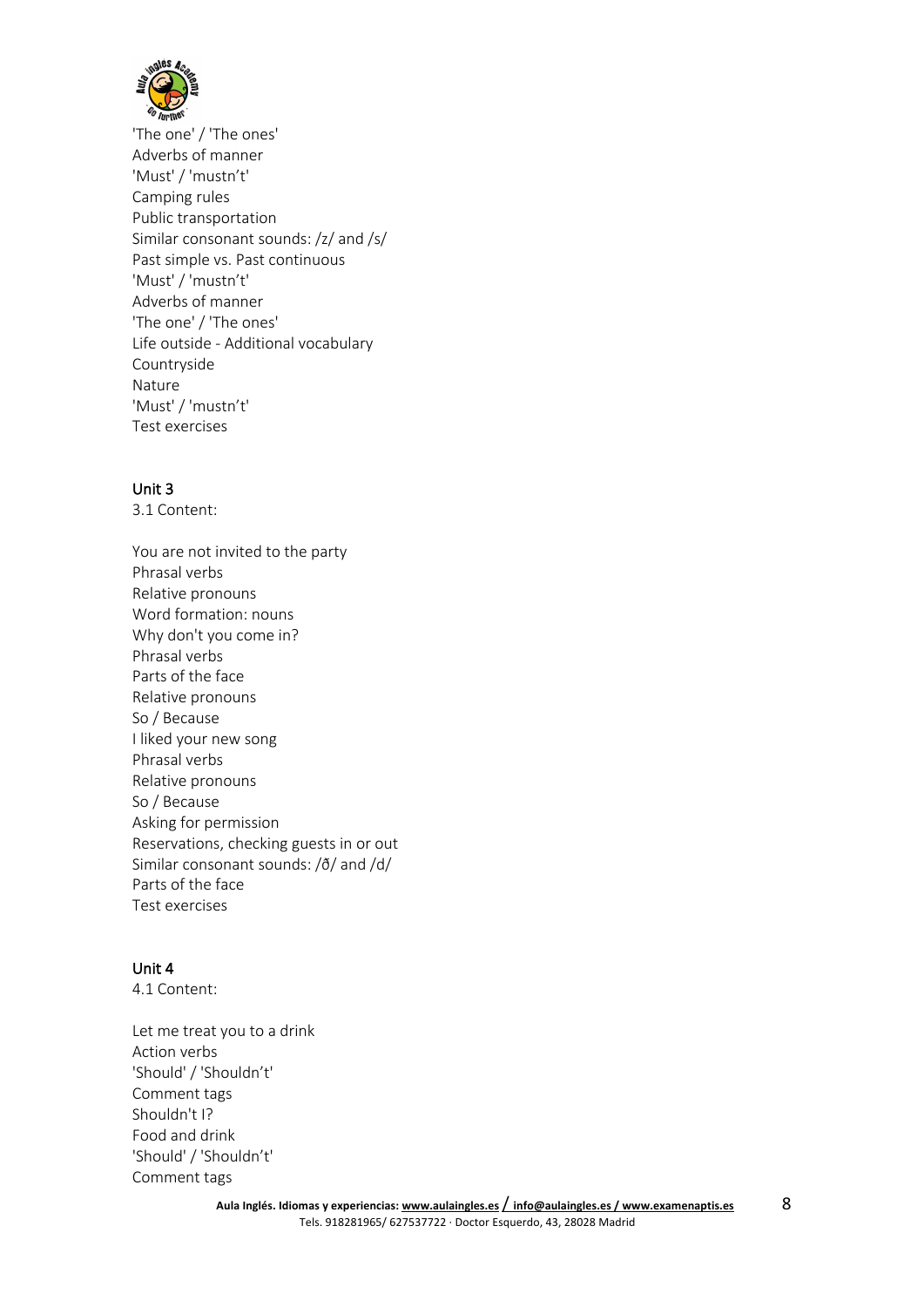

'The one' / 'The ones' Adverbs of manner 'Must' / 'mustn't' Camping rules Public transportation Similar consonant sounds: /z/ and /s/ Past simple vs. Past continuous 'Must' / 'mustn't' Adverbs of manner 'The one' / 'The ones' Life outside - Additional vocabulary Countryside Nature 'Must' / 'mustn't' Test exercises

### Unit 3

3.1 Content:

You are not invited to the party Phrasal verbs Relative pronouns Word formation: nouns Why don't you come in? Phrasal verbs Parts of the face Relative pronouns So / Because I liked your new song Phrasal verbs Relative pronouns So / Because Asking for permission Reservations, checking guests in or out Similar consonant sounds: /ð/ and /d/ Parts of the face Test exercises

### Unit 4

4.1 Content:

Let me treat you to a drink Action verbs 'Should' / 'Shouldn't' Comment tags Shouldn't I? Food and drink 'Should' / 'Shouldn't' Comment tags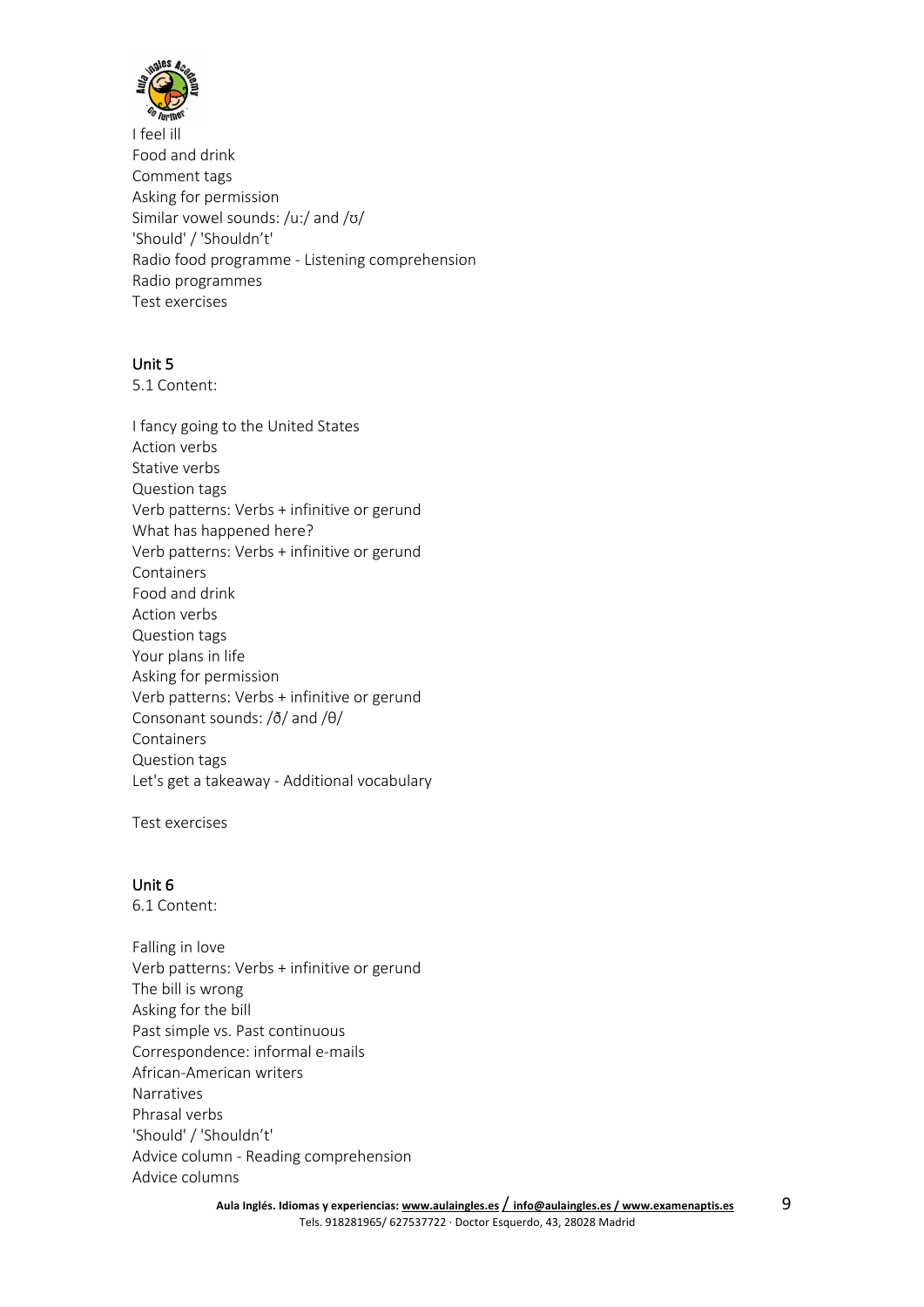

I feel ill Food and drink Comment tags Asking for permission Similar vowel sounds: /u:/ and /ʊ/ 'Should' / 'Shouldn't' Radio food programme - Listening comprehension Radio programmes Test exercises

# Unit 5

5.1 Content:

I fancy going to the United States Action verbs Stative verbs Question tags Verb patterns: Verbs + infinitive or gerund What has happened here? Verb patterns: Verbs + infinitive or gerund Containers Food and drink Action verbs Question tags Your plans in life Asking for permission Verb patterns: Verbs + infinitive or gerund Consonant sounds: /ð/ and /θ/ Containers Question tags Let's get a takeaway - Additional vocabulary

Test exercises

### Unit 6

6.1 Content:

Falling in love Verb patterns: Verbs + infinitive or gerund The bill is wrong Asking for the bill Past simple vs. Past continuous Correspondence: informal e-mails African-American writers Narratives Phrasal verbs 'Should' / 'Shouldn't' Advice column - Reading comprehension Advice columns